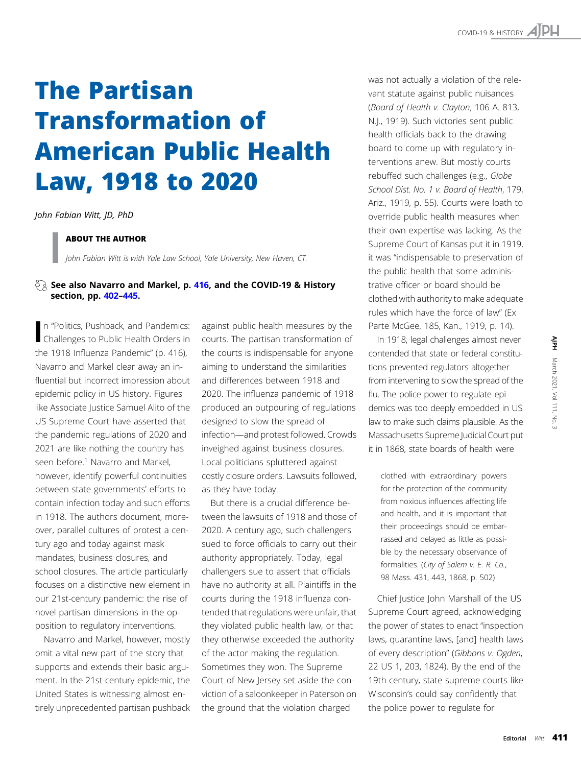# The Partisan Transformation of American Public Health Law, 1918 to 2020

John Fabian Witt, JD, PhD

# ABOUT THE AUTHOR

John Fabian Witt is with Yale Law School, Yale University, New Haven, CT.

# $\sqrt[3]{2}$  See also Navarro and Markel, p. [416,](https://ajph.aphapublications.org/doi/10.2105/AJPH.2020.305958) and the COVID-19 & History section, pp. [402](https://ajph.aphapublications.org/doi/10.2105/AJPH.2020.306136)–[445.](https://ajph.aphapublications.org/doi/10.2105/AJPH.2020.306025)

In "Politics, Pushback, and Pandemics:<br>I Challenges to Public Health Orders in n "Politics, Pushback, and Pandemics: the 1918 Influenza Pandemic" (p. 416), Navarro and Markel clear away an influential but incorrect impression about epidemic policy in US history. Figures like Associate Justice Samuel Alito of the US Supreme Court have asserted that the pandemic regulations of 2020 and 2021 are like nothing the country has seen before.<sup>[1](#page-2-0)</sup> Navarro and Markel, however, identify powerful continuities between state governments' efforts to contain infection today and such efforts in 1918. The authors document, moreover, parallel cultures of protest a century ago and today against mask mandates, business closures, and school closures. The article particularly focuses on a distinctive new element in our 21st-century pandemic: the rise of novel partisan dimensions in the opposition to regulatory interventions.

Navarro and Markel, however, mostly omit a vital new part of the story that supports and extends their basic argument. In the 21st-century epidemic, the United States is witnessing almost entirely unprecedented partisan pushback

against public health measures by the courts. The partisan transformation of the courts is indispensable for anyone aiming to understand the similarities and differences between 1918 and 2020. The influenza pandemic of 1918 produced an outpouring of regulations designed to slow the spread of infection—and protest followed. Crowds inveighed against business closures. Local politicians spluttered against costly closure orders. Lawsuits followed, as they have today.

But there is a crucial difference between the lawsuits of 1918 and those of 2020. A century ago, such challengers sued to force officials to carry out their authority appropriately. Today, legal challengers sue to assert that officials have no authority at all. Plaintiffs in the courts during the 1918 influenza contended that regulations were unfair, that they violated public health law, or that they otherwise exceeded the authority of the actor making the regulation. Sometimes they won. The Supreme Court of New Jersey set aside the conviction of a saloonkeeper in Paterson on the ground that the violation charged

was not actually a violation of the relevant statute against public nuisances (Board of Health v. Clayton, 106 A. 813, N.J., 1919). Such victories sent public health officials back to the drawing board to come up with regulatory interventions anew. But mostly courts rebuffed such challenges (e.g., Globe School Dist. No. 1 v. Board of Health, 179, Ariz., 1919, p. 55). Courts were loath to override public health measures when their own expertise was lacking. As the Supreme Court of Kansas put it in 1919, it was "indispensable to preservation of the public health that some administrative officer or board should be clothed with authority to make adequate rules which have the force of law" (Ex Parte McGee, 185, Kan., 1919, p. 14).

In 1918, legal challenges almost never contended that state or federal constitutions prevented regulators altogether from intervening to slow the spread of the flu. The police power to regulate epidemics was too deeply embedded in US law to make such claims plausible. As the Massachusetts Supreme Judicial Court put it in 1868, state boards of health were

clothed with extraordinary powers for the protection of the community from noxious influences affecting life and health, and it is important that their proceedings should be embarrassed and delayed as little as possible by the necessary observance of formalities. (City of Salem v. E. R. Co., 98 Mass. 431, 443, 1868, p. 502)

Chief Justice John Marshall of the US Supreme Court agreed, acknowledging the power of states to enact "inspection laws, quarantine laws, [and] health laws of every description" (Gibbons v. Ogden, 22 US 1, 203, 1824). By the end of the 19th century, state supreme courts like Wisconsin's could say confidently that the police power to regulate for Never<br>Institution<br>The Society of the Singles of the Singles of the Singles of the Singles of Singles Control<br>The March 2021, Volume 2021, Vol. 2021, Vol. 2021, Vol. 2021, Vol. 2021, Vol. 2021, Vol. 2021, Vol. 2021, Vol. 20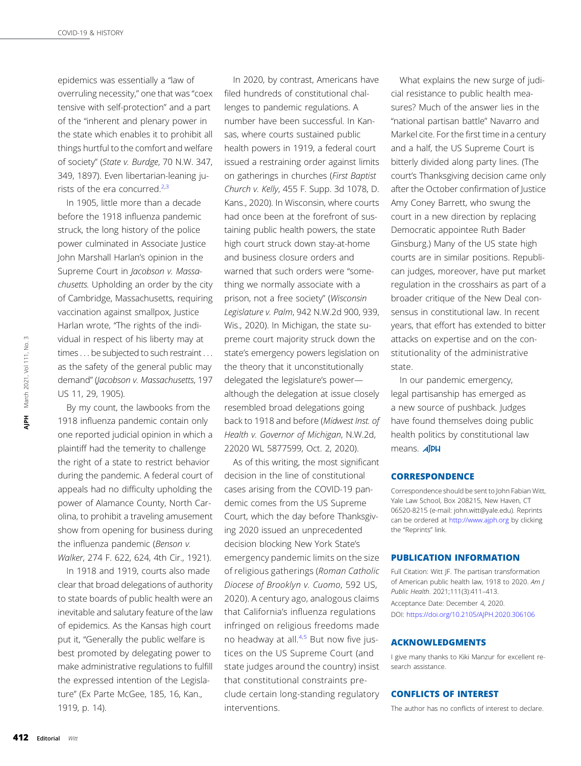epidemics was essentially a "law of overruling necessity," one that was "coex tensive with self-protection" and a part of the "inherent and plenary power in the state which enables it to prohibit all things hurtful to the comfort and welfare of society" (State v. Burdge, 70 N.W. 347, 349, 1897). Even libertarian-leaning jurists of the era concurred.[2,3](#page-2-0)

In 1905, little more than a decade before the 1918 influenza pandemic struck, the long history of the police power culminated in Associate Justice John Marshall Harlan's opinion in the Supreme Court in Jacobson v. Massachusetts. Upholding an order by the city of Cambridge, Massachusetts, requiring vaccination against smallpox, Justice Harlan wrote, "The rights of the individual in respect of his liberty may at times . . . be subjected to such restraint . . . as the safety of the general public may demand" (Jacobson v. Massachusetts, 197 US 11, 29, 1905).

By my count, the lawbooks from the 1918 influenza pandemic contain only one reported judicial opinion in which a plaintiff had the temerity to challenge the right of a state to restrict behavior during the pandemic. A federal court of appeals had no difficulty upholding the power of Alamance County, North Carolina, to prohibit a traveling amusement show from opening for business during the influenza pandemic (Benson v. Walker, 274 F. 622, 624, 4th Cir., 1921).

In 1918 and 1919, courts also made clear that broad delegations of authority to state boards of public health were an inevitable and salutary feature of the law of epidemics. As the Kansas high court put it, "Generally the public welfare is best promoted by delegating power to make administrative regulations to fulfill the expressed intention of the Legislature" (Ex Parte McGee, 185, 16, Kan., 1919, p. 14).

In 2020, by contrast, Americans have filed hundreds of constitutional challenges to pandemic regulations. A number have been successful. In Kansas, where courts sustained public health powers in 1919, a federal court issued a restraining order against limits on gatherings in churches (First Baptist Church v. Kelly, 455 F. Supp. 3d 1078, D. Kans., 2020). In Wisconsin, where courts had once been at the forefront of sustaining public health powers, the state high court struck down stay-at-home and business closure orders and warned that such orders were "something we normally associate with a prison, not a free society" (Wisconsin Legislature v. Palm, 942 N.W.2d 900, 939, Wis., 2020). In Michigan, the state supreme court majority struck down the state's emergency powers legislation on the theory that it unconstitutionally delegated the legislature's power although the delegation at issue closely resembled broad delegations going back to 1918 and before (Midwest Inst. of Health v. Governor of Michigan, N.W.2d, 22020 WL 5877599, Oct. 2, 2020).

As of this writing, the most significant decision in the line of constitutional cases arising from the COVID-19 pandemic comes from the US Supreme Court, which the day before Thanksgiving 2020 issued an unprecedented decision blocking New York State's emergency pandemic limits on the size of religious gatherings (Roman Catholic Diocese of Brooklyn v. Cuomo, 592 US, 2020). A century ago, analogous claims that California's influenza regulations infringed on religious freedoms made no headway at all. $4.5$  But now five justices on the US Supreme Court (and state judges around the country) insist that constitutional constraints preclude certain long-standing regulatory interventions.

What explains the new surge of judicial resistance to public health measures? Much of the answer lies in the "national partisan battle" Navarro and Markel cite. For the first time in a century and a half, the US Supreme Court is bitterly divided along party lines. (The court's Thanksgiving decision came only after the October confirmation of Justice Amy Coney Barrett, who swung the court in a new direction by replacing Democratic appointee Ruth Bader Ginsburg.) Many of the US state high courts are in similar positions. Republican judges, moreover, have put market regulation in the crosshairs as part of a broader critique of the New Deal consensus in constitutional law. In recent years, that effort has extended to bitter attacks on expertise and on the constitutionality of the administrative state.

In our pandemic emergency, legal partisanship has emerged as a new source of pushback. Judges have found themselves doing public health politics by constitutional law means. **AIPH** 

### **CORRESPONDENCE**

Correspondence should be sent to John Fabian Witt, Yale Law School, Box 208215, New Haven, CT 06520-8215 (e-mail: [john.witt@yale.edu\)](mailto:john.witt@yale.edu). Reprints can be ordered at <http://www.ajph.org> by clicking the "Reprints" link.

#### PUBLICATION INFORMATION

Full Citation: Witt JF. The partisan transformation of American public health law, 1918 to 2020. Am J Public Health. 2021;111(3):411–413. Acceptance Date: December 4, 2020. DOI: <https://doi.org/10.2105/AJPH.2020.306106>

#### ACKNOWLEDGMENTS

I give many thanks to Kiki Manzur for excellent research assistance.

# CONFLICTS OF INTEREST

The author has no conflicts of interest to declare.

 $\sim$